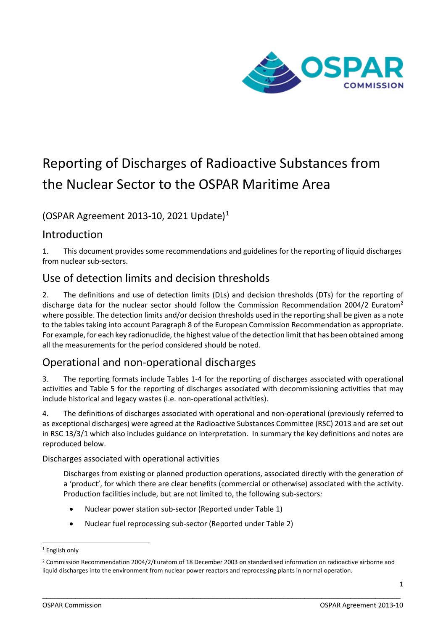

# Reporting of Discharges of Radioactive Substances from the Nuclear Sector to the OSPAR Maritime Area

(OSPAR Agreement 20[1](#page-0-0)3-10, 2021 Update)<sup>1</sup>

## Introduction

1. This document provides some recommendations and guidelines for the reporting of liquid discharges from nuclear sub-sectors.

# Use of detection limits and decision thresholds

2. The definitions and use of detection limits (DLs) and decision thresholds (DTs) for the reporting of discharge data for the nuclear sector should follow the Commission Recommendation [2](#page-0-1)004/2 Euratom<sup>2</sup> where possible. The detection limits and/or decision thresholds used in the reporting shall be given as a note to the tables taking into account Paragraph 8 of the European Commission Recommendation as appropriate. For example, for each key radionuclide, the highest value of the detection limit that has been obtained among all the measurements for the period considered should be noted.

# Operational and non-operational discharges

3. The reporting formats include Tables 1-4 for the reporting of discharges associated with operational activities and Table 5 for the reporting of discharges associated with decommissioning activities that may include historical and legacy wastes (i.e. non-operational activities).

4. The definitions of discharges associated with operational and non-operational (previously referred to as exceptional discharges) were agreed at the Radioactive Substances Committee (RSC) 2013 and are set out in RSC 13/3/1 which also includes guidance on interpretation. In summary the key definitions and notes are reproduced below.

Discharges associated with operational activities

Discharges from existing or planned production operations, associated directly with the generation of a 'product', for which there are clear benefits (commercial or otherwise) associated with the activity. Production facilities include, but are not limited to, the following sub-sectors*:* 

- Nuclear power station sub-sector (Reported under Table 1)
- Nuclear fuel reprocessing sub-sector (Reported under Table 2)

<span id="page-0-0"></span><sup>1</sup> English only

<span id="page-0-1"></span><sup>2</sup> Commission Recommendation 2004/2/Euratom of 18 December 2003 on standardised information on radioactive airborne and liquid discharges into the environment from nuclear power reactors and reprocessing plants in normal operation.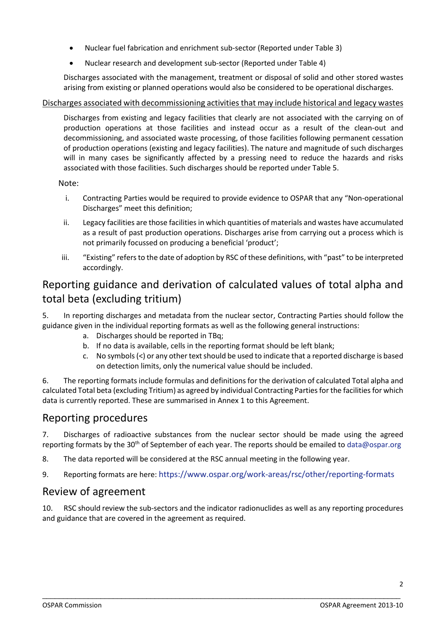- Nuclear fuel fabrication and enrichment sub-sector (Reported under Table 3)
- Nuclear research and development sub-sector (Reported under Table 4)

Discharges associated with the management, treatment or disposal of solid and other stored wastes arising from existing or planned operations would also be considered to be operational discharges.

#### Discharges associated with decommissioning activities that may include historical and legacy wastes

Discharges from existing and legacy facilities that clearly are not associated with the carrying on of production operations at those facilities and instead occur as a result of the clean-out and decommissioning, and associated waste processing, of those facilities following permanent cessation of production operations (existing and legacy facilities). The nature and magnitude of such discharges will in many cases be significantly affected by a pressing need to reduce the hazards and risks associated with those facilities. Such discharges should be reported under Table 5.

#### Note:

- i. Contracting Parties would be required to provide evidence to OSPAR that any "Non-operational Discharges" meet this definition;
- ii. Legacy facilities are those facilities in which quantities of materials and wastes have accumulated as a result of past production operations. Discharges arise from carrying out a process which is not primarily focussed on producing a beneficial 'product';
- iii. "Existing" refers to the date of adoption by RSC of these definitions, with "past" to be interpreted accordingly.

# Reporting guidance and derivation of calculated values of total alpha and total beta (excluding tritium)

5. In reporting discharges and metadata from the nuclear sector, Contracting Parties should follow the guidance given in the individual reporting formats as well as the following general instructions:

- a. Discharges should be reported in TBq;
- b. If no data is available, cells in the reporting format should be left blank;
- c. No symbols (<) or any other text should be used to indicate that a reported discharge is based on detection limits, only the numerical value should be included.

6. The reporting formats include formulas and definitions for the derivation of calculated Total alpha and calculated Total beta (excluding Tritium) as agreed by individual Contracting Parties for the facilities for which data is currently reported. These are summarised in Annex 1 to this Agreement.

### Reporting procedures

7. Discharges of radioactive substances from the nuclear sector should be made using the agreed reporting formats by the 30<sup>th</sup> of September of each year. The reports should be emailed to [data@ospar.org](mailto:data@ospar.org)

- 8. The data reported will be considered at the RSC annual meeting in the following year.
- 9. Reporting formats are here:<https://www.ospar.org/work-areas/rsc/other/reporting-formats>

#### Review of agreement

10. RSC should review the sub-sectors and the indicator radionuclides as well as any reporting procedures and guidance that are covered in the agreement as required.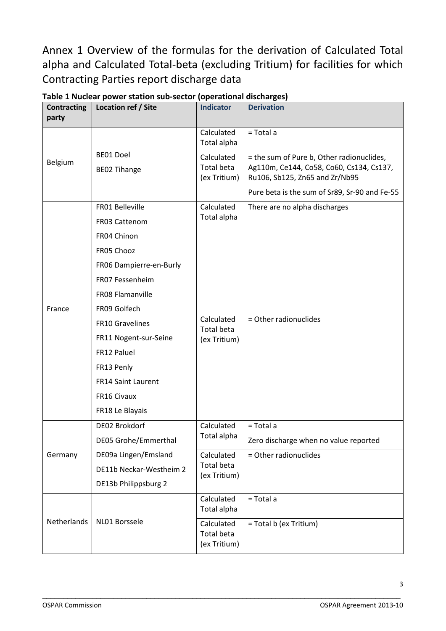Annex 1 Overview of the formulas for the derivation of Calculated Total alpha and Calculated Total-beta (excluding Tritium) for facilities for which Contracting Parties report discharge data

| <b>Contracting</b><br>party | Location ref / Site         | <b>Indicator</b>                                | <b>Derivation</b>                                                          |  |
|-----------------------------|-----------------------------|-------------------------------------------------|----------------------------------------------------------------------------|--|
|                             |                             | Calculated<br>Total alpha                       | $=$ Total a                                                                |  |
| Belgium                     | BE01 Doel                   | Calculated                                      | = the sum of Pure b, Other radionuclides,                                  |  |
|                             | <b>BEO2 Tihange</b>         | Total beta<br>(ex Tritium)                      | Ag110m, Ce144, Co58, Co60, Cs134, Cs137,<br>Ru106, Sb125, Zn65 and Zr/Nb95 |  |
|                             |                             |                                                 | Pure beta is the sum of Sr89, Sr-90 and Fe-55                              |  |
|                             | FR01 Belleville             | Calculated                                      | There are no alpha discharges                                              |  |
|                             | FR03 Cattenom               | Total alpha                                     |                                                                            |  |
|                             | FR04 Chinon                 |                                                 |                                                                            |  |
|                             | FR05 Chooz                  |                                                 |                                                                            |  |
|                             | FR06 Dampierre-en-Burly     |                                                 |                                                                            |  |
|                             | FR07 Fessenheim             |                                                 |                                                                            |  |
|                             | FR08 Flamanville            |                                                 |                                                                            |  |
| France                      | FR09 Golfech                |                                                 |                                                                            |  |
|                             | <b>FR10 Gravelines</b>      | Calculated<br>Total beta                        | = Other radionuclides                                                      |  |
|                             | FR11 Nogent-sur-Seine       | (ex Tritium)                                    |                                                                            |  |
|                             | FR12 Paluel                 |                                                 |                                                                            |  |
|                             | FR13 Penly                  |                                                 |                                                                            |  |
|                             | <b>FR14 Saint Laurent</b>   |                                                 |                                                                            |  |
|                             | FR16 Civaux                 |                                                 |                                                                            |  |
|                             | FR18 Le Blayais             |                                                 |                                                                            |  |
|                             | DE02 Brokdorf               | Calculated                                      | $=$ Total a                                                                |  |
|                             | <b>DE05 Grohe/Emmerthal</b> | Total alpha                                     | Zero discharge when no value reported                                      |  |
| Germany                     | DE09a Lingen/Emsland        | Calculated                                      | = Other radionuclides                                                      |  |
|                             | DE11b Neckar-Westheim 2     | <b>Total beta</b><br>(ex Tritium)               |                                                                            |  |
|                             | DE13b Philippsburg 2        |                                                 |                                                                            |  |
| Netherlands                 | NL01 Borssele               | Calculated<br>Total alpha                       | = Total a                                                                  |  |
|                             |                             | Calculated<br><b>Total beta</b><br>(ex Tritium) | = Total b (ex Tritium)                                                     |  |

**Table 1 Nuclear power station sub-sector (operational discharges)**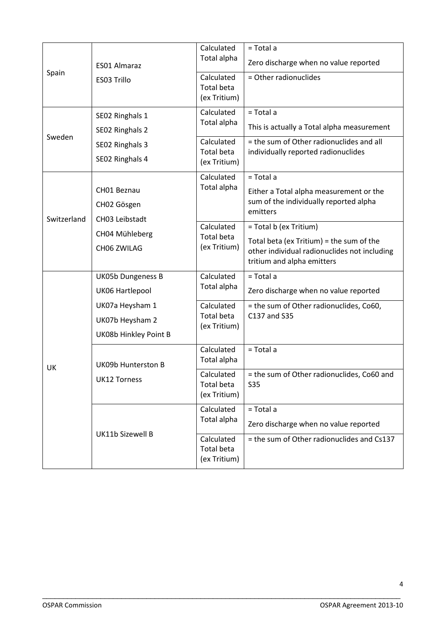| Spain       | <b>ES01 Almaraz</b>      | Calculated                                      | = Total a                                                                  |  |
|-------------|--------------------------|-------------------------------------------------|----------------------------------------------------------------------------|--|
|             |                          | Total alpha                                     | Zero discharge when no value reported                                      |  |
|             | ES03 Trillo              | Calculated<br><b>Total beta</b><br>(ex Tritium) | = Other radionuclides                                                      |  |
|             | SE02 Ringhals 1          | Calculated                                      | = Total a                                                                  |  |
|             | SE02 Ringhals 2          | Total alpha                                     | This is actually a Total alpha measurement                                 |  |
| Sweden      | SE02 Ringhals 3          | Calculated                                      | = the sum of Other radionuclides and all                                   |  |
|             | SE02 Ringhals 4          | <b>Total beta</b><br>(ex Tritium)               | individually reported radionuclides                                        |  |
|             |                          | Calculated                                      | = Total a                                                                  |  |
|             | CH01 Beznau              | Total alpha                                     | Either a Total alpha measurement or the                                    |  |
|             | CH02 Gösgen              |                                                 | sum of the individually reported alpha<br>emitters                         |  |
| Switzerland | CH03 Leibstadt           | Calculated                                      | = Total b (ex Tritium)                                                     |  |
|             | CH04 Mühleberg           | <b>Total beta</b>                               | Total beta (ex Tritium) = the sum of the                                   |  |
|             | CH06 ZWILAG              | (ex Tritium)                                    | other individual radionuclides not including<br>tritium and alpha emitters |  |
|             | <b>UK05b Dungeness B</b> | Calculated                                      | = Total a                                                                  |  |
|             | UK06 Hartlepool          | Total alpha                                     | Zero discharge when no value reported                                      |  |
|             | UK07a Heysham 1          | Calculated                                      | = the sum of Other radionuclides, Co60,                                    |  |
|             | UK07b Heysham 2          | <b>Total beta</b><br>(ex Tritium)               | C137 and S35                                                               |  |
|             | UK08b Hinkley Point B    |                                                 |                                                                            |  |
| UK          | UK09b Hunterston B       | Calculated<br>Total alpha                       | = Total a                                                                  |  |
|             | UK12 Torness             | Calculated<br><b>Total beta</b><br>(ex Tritium) | = the sum of Other radionuclides, Co60 and<br><b>S35</b>                   |  |
|             |                          | Calculated                                      | = Total a                                                                  |  |
|             | <b>UK11b Sizewell B</b>  | Total alpha                                     | Zero discharge when no value reported                                      |  |
|             |                          | Calculated<br><b>Total beta</b><br>(ex Tritium) | = the sum of Other radionuclides and Cs137                                 |  |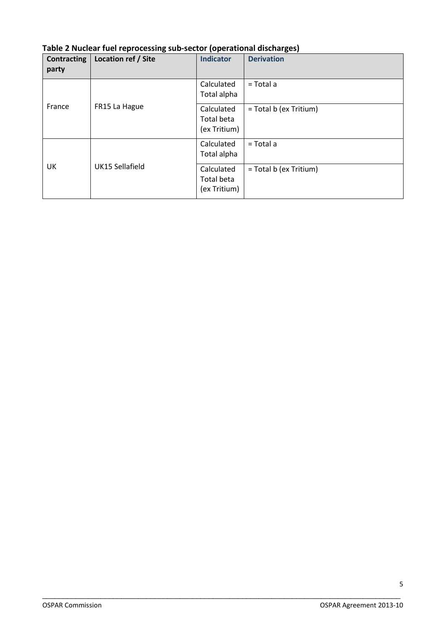| <b>Contracting</b><br>party | Location ref / Site | <b>Indicator</b>                         | <b>Derivation</b>      |
|-----------------------------|---------------------|------------------------------------------|------------------------|
| France                      | FR15 La Hague       | Calculated<br>Total alpha                | $=$ Total a            |
|                             |                     | Calculated<br>Total beta<br>(ex Tritium) | = Total b (ex Tritium) |
| UK                          | UK15 Sellafield     | Calculated<br>Total alpha                | $=$ Total a            |
|                             |                     | Calculated<br>Total beta<br>(ex Tritium) | = Total b (ex Tritium) |

### **Table 2 Nuclear fuel reprocessing sub-sector (operational discharges)**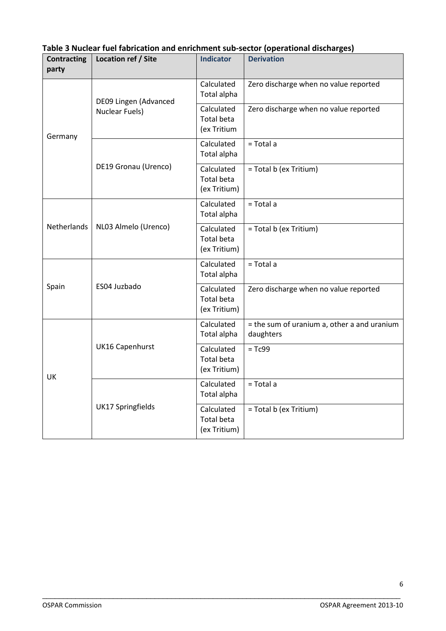| <b>Contracting</b><br>party | Location ref / Site                            | <b>Indicator</b>                                | <b>Derivation</b>                                        |  |
|-----------------------------|------------------------------------------------|-------------------------------------------------|----------------------------------------------------------|--|
| Germany                     | DE09 Lingen (Advanced<br><b>Nuclear Fuels)</b> | Calculated<br>Total alpha                       | Zero discharge when no value reported                    |  |
|                             |                                                | Calculated<br><b>Total beta</b><br>(ex Tritium  | Zero discharge when no value reported                    |  |
|                             |                                                | Calculated<br>Total alpha                       | $=$ Total a                                              |  |
|                             | DE19 Gronau (Urenco)                           | Calculated<br><b>Total beta</b><br>(ex Tritium) | = Total b (ex Tritium)                                   |  |
|                             | NL03 Almelo (Urenco)                           | Calculated<br>Total alpha                       | $=$ Total a                                              |  |
| Netherlands                 |                                                | Calculated<br><b>Total beta</b><br>(ex Tritium) | = Total b (ex Tritium)                                   |  |
| Spain                       | ES04 Juzbado                                   | Calculated<br>Total alpha                       | = Total a                                                |  |
|                             |                                                | Calculated<br>Total beta<br>(ex Tritium)        | Zero discharge when no value reported                    |  |
|                             | <b>UK16 Capenhurst</b>                         | Calculated<br>Total alpha                       | = the sum of uranium a, other a and uranium<br>daughters |  |
| UK                          |                                                | Calculated<br><b>Total beta</b><br>(ex Tritium) | $= Tc99$                                                 |  |
|                             | <b>UK17 Springfields</b>                       | Calculated<br>Total alpha                       | $=$ Total a                                              |  |
|                             |                                                | Calculated<br>Total beta<br>(ex Tritium)        | = Total b (ex Tritium)                                   |  |

# **Table 3 Nuclear fuel fabrication and enrichment sub-sector (operational discharges)**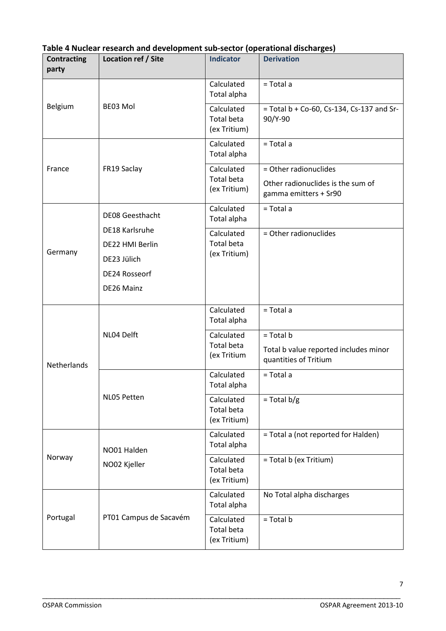| <b>Contracting</b><br>party | Location ref / Site                                                             | <b>Indicator</b>                                | <b>Derivation</b>                                                                   |
|-----------------------------|---------------------------------------------------------------------------------|-------------------------------------------------|-------------------------------------------------------------------------------------|
|                             | BE03 Mol                                                                        | Calculated<br>Total alpha                       | = Total a                                                                           |
| Belgium                     |                                                                                 | Calculated<br><b>Total beta</b><br>(ex Tritium) | = Total b + Co-60, Cs-134, Cs-137 and Sr-<br>90/Y-90                                |
|                             |                                                                                 | Calculated<br>Total alpha                       | $=$ Total a                                                                         |
| France                      | FR19 Saclay                                                                     | Calculated<br><b>Total beta</b><br>(ex Tritium) | = Other radionuclides<br>Other radionuclides is the sum of<br>gamma emitters + Sr90 |
|                             | <b>DE08 Geesthacht</b>                                                          | Calculated<br>Total alpha                       | = Total a                                                                           |
| Germany                     | DE18 Karlsruhe<br>DE22 HMI Berlin<br>DE23 Jülich<br>DE24 Rosseorf<br>DE26 Mainz | Calculated<br><b>Total beta</b><br>(ex Tritium) | = Other radionuclides                                                               |
|                             | NL04 Delft                                                                      | Calculated<br>Total alpha                       | = Total a                                                                           |
| <b>Netherlands</b>          |                                                                                 | Calculated<br>Total beta<br>(ex Tritium         | $=$ Total b<br>Total b value reported includes minor<br>quantities of Tritium       |
|                             |                                                                                 | Calculated<br>Total alpha                       | = Total a                                                                           |
|                             | NL05 Petten                                                                     | Calculated<br><b>Total beta</b><br>(ex Tritium) | $=$ Total b/g                                                                       |
|                             | NO01 Halden<br>NO02 Kjeller                                                     | Calculated<br>Total alpha                       | = Total a (not reported for Halden)                                                 |
| Norway                      |                                                                                 | Calculated<br><b>Total beta</b><br>(ex Tritium) | = Total b (ex Tritium)                                                              |
|                             | PT01 Campus de Sacavém                                                          | Calculated<br>Total alpha                       | No Total alpha discharges                                                           |
| Portugal                    |                                                                                 | Calculated<br><b>Total beta</b><br>(ex Tritium) | $=$ Total b                                                                         |

### **Table 4 Nuclear research and development sub-sector (operational discharges)**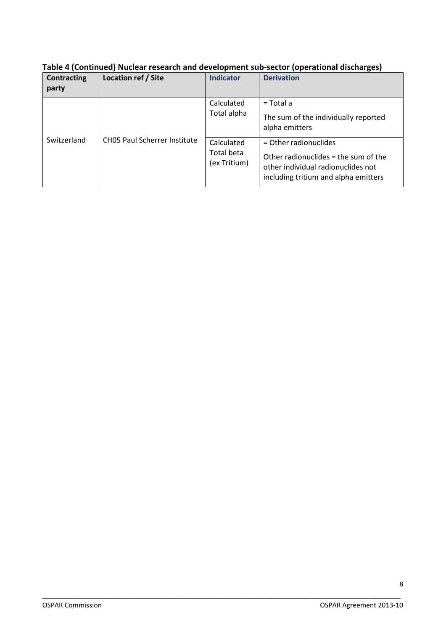| Table 4 (Continued) Nuclear research and development sub-sector (operational discharges) |  |  |
|------------------------------------------------------------------------------------------|--|--|
|                                                                                          |  |  |

| <b>Contracting</b><br>party | Location ref / Site                 | <b>Indicator</b>                         | <b>Derivation</b>                                                                                                                             |
|-----------------------------|-------------------------------------|------------------------------------------|-----------------------------------------------------------------------------------------------------------------------------------------------|
| Switzerland                 | <b>CHO5 Paul Scherrer Institute</b> | Calculated<br>Total alpha                | $=$ Total a<br>The sum of the individually reported<br>alpha emitters                                                                         |
|                             |                                     | Calculated<br>Total beta<br>(ex Tritium) | $=$ Other radionuclides<br>Other radionuclides = the sum of the<br>other individual radionuclides not<br>including tritium and alpha emitters |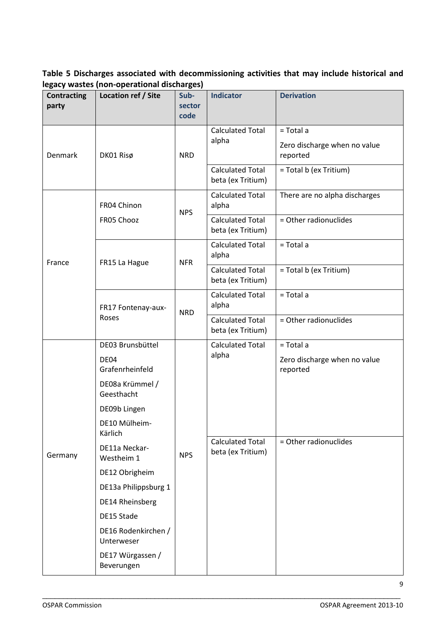**Table 5 Discharges associated with decommissioning activities that may include historical and legacy wastes (non-operational discharges)**

| <b>Contracting</b><br>party | <b>Location ref / Site</b>                  | -- 0- - 1<br>Sub-<br>sector<br>code | <b>Indicator</b>                             | <b>Derivation</b>                                     |
|-----------------------------|---------------------------------------------|-------------------------------------|----------------------------------------------|-------------------------------------------------------|
| Denmark                     | DK01 Risø                                   | <b>NRD</b>                          | <b>Calculated Total</b><br>alpha             | = Total a<br>Zero discharge when no value<br>reported |
|                             |                                             |                                     | <b>Calculated Total</b><br>beta (ex Tritium) | = Total b (ex Tritium)                                |
|                             | FR04 Chinon                                 | <b>NPS</b>                          | <b>Calculated Total</b><br>alpha             | There are no alpha discharges                         |
|                             | FR05 Chooz                                  |                                     | <b>Calculated Total</b><br>beta (ex Tritium) | = Other radionuclides                                 |
|                             |                                             |                                     | <b>Calculated Total</b><br>alpha             | = Total a                                             |
| France                      | FR15 La Hague                               | <b>NFR</b>                          | <b>Calculated Total</b><br>beta (ex Tritium) | = Total b (ex Tritium)                                |
|                             | FR17 Fontenay-aux-<br>Roses                 | <b>NRD</b>                          | <b>Calculated Total</b><br>alpha             | = Total a                                             |
|                             |                                             |                                     | <b>Calculated Total</b><br>beta (ex Tritium) | = Other radionuclides                                 |
|                             | DE03 Brunsbüttel<br>DE04<br>Grafenrheinfeld | <b>NPS</b>                          | <b>Calculated Total</b><br>alpha             | = Total a<br>Zero discharge when no value<br>reported |
|                             | DE08a Krümmel /<br>Geesthacht               |                                     |                                              |                                                       |
|                             | DE09b Lingen                                |                                     |                                              |                                                       |
|                             | DE10 Mülheim-<br>Kärlich                    |                                     | <b>Calculated Total</b><br>beta (ex Tritium) |                                                       |
| Germany                     | DE11a Neckar-<br>Westheim 1                 |                                     |                                              | = Other radionuclides                                 |
|                             | DE12 Obrigheim                              |                                     |                                              |                                                       |
|                             | DE13a Philippsburg 1                        |                                     |                                              |                                                       |
|                             | DE14 Rheinsberg                             |                                     |                                              |                                                       |
|                             | DE15 Stade                                  |                                     |                                              |                                                       |
|                             | DE16 Rodenkirchen /<br>Unterweser           |                                     |                                              |                                                       |
|                             | DE17 Würgassen /<br>Beverungen              |                                     |                                              |                                                       |